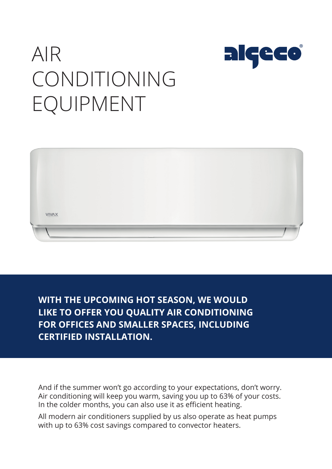

# AIR CONDITIONING EQUIPMENT



**WITH THE UPCOMING HOT SEASON, WE WOULD LIKE TO OFFER YOU QUALITY AIR CONDITIONING FOR OFFICES AND SMALLER SPACES, INCLUDING CERTIFIED INSTALLATION.** 

And if the summer won't go according to your expectations, don't worry. Air conditioning will keep you warm, saving you up to 63% of your costs. In the colder months, you can also use it as efficient heating.

All modern air conditioners supplied by us also operate as heat pumps with up to 63% cost savings compared to convector heaters.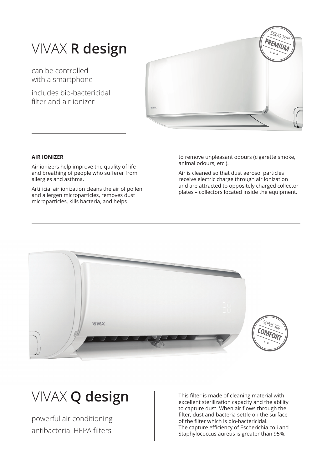### VIVAX **R design**

can be controlled with a smartphone

includes bio-bactericidal filter and air ionizer



#### **AIR IONIZER**

Air ionizers help improve the quality of life and breathing of people who sufferer from allergies and asthma.

Artificial air ionization cleans the air of pollen and allergen microparticles, removes dust microparticles, kills bacteria, and helps

to remove unpleasant odours (cigarette smoke, animal odours, etc.).

Air is cleaned so that dust aerosol particles receive electric charge through air ionization and are attracted to oppositely charged collector plates – collectors located inside the equipment.



## VIVAX **Q design**

powerful air conditioning antibacterial HEPA filters

This filter is made of cleaning material with excellent sterilization capacity and the ability to capture dust. When air flows through the filter, dust and bacteria settle on the surface of the filter which is bio-bactericidal. The capture efficiency of Escherichia coli and Staphylococcus aureus is greater than 95%.